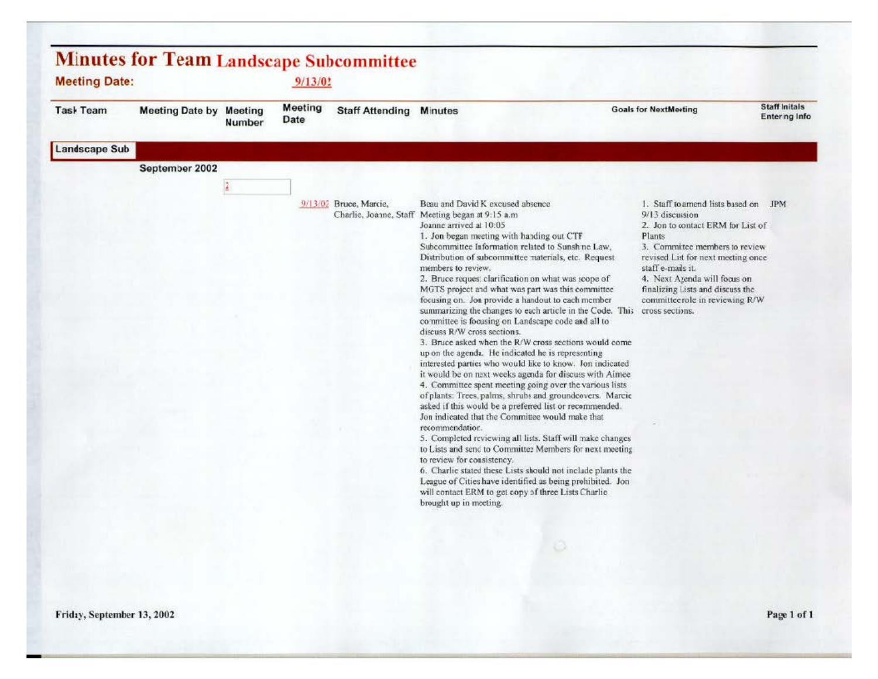| <b>Meeting</b><br>Task Team<br><b>Goals for NextMeeting</b><br><b>Staff Attending Minutes</b><br><b>Meeting Date by Meeting</b><br>Date<br>Number<br>September 2002<br>$\frac{3}{4}$<br>Beau and David K excused absence<br>1. Staff to amend lists based on JPM<br>9/13/02 Bruce, Marcie,<br>Charlie, Joanne, Staff Meeting began at 9:15 a.m.<br>9/13 discussion<br>Joanne arrived at 10:05<br>2. Jon to contact ERM for List of<br>1. Jon began meeting with handing out CTF<br>Plants<br>Subcommittee Information related to Sunsh ne Law,<br>3. Committee members to review<br>Distribution of subcommittee naterials, etc. Request<br>revised List for next meeting once<br>members to review.<br>staff e-mails it.<br>2. Bruce reques: clarification on what was scope of<br>4. Next Azenda will focus on<br>MGTS project and what was part was this committee<br>finalizing Lists and discuss the<br>focusing on. Jon provide a handout to each member<br>committeerole in reviewing R/W<br>summarizing the changes to each article in the Code. This<br>cross sections.<br>committee is focusing on Landscape code and all to<br>discuss R/W cross sections.<br>3. Bruce asked when the R/W cross sections would come<br>up on the agenda. He indicated he is representing<br>interested parties who would like to know. Jon indicated<br>it would be on naxt weeks agenda for discuss with Aimee<br>4. Committee spent meeting going over the various lists<br>of plants: Trees palms, shrubs and groundcovers. Marcie<br>asked if this would be a preferred list or recommended.<br>Jon indicated that the Committee would make that<br>recommendation.<br>5. Completed reviewing all lists. Staff will make changes<br>to Lists and send to Committee Members for next meeting<br>to review for consistency.<br>6. Charlie stated these Lists should not include plants the<br>League of Cities have identified as being prohibited. Jon | <b>Minutes for Team Landscape Subcommittee</b><br><b>Meeting Date:</b><br>9/13/02 |  |  |  |  |                                                     |  |                                       |
|------------------------------------------------------------------------------------------------------------------------------------------------------------------------------------------------------------------------------------------------------------------------------------------------------------------------------------------------------------------------------------------------------------------------------------------------------------------------------------------------------------------------------------------------------------------------------------------------------------------------------------------------------------------------------------------------------------------------------------------------------------------------------------------------------------------------------------------------------------------------------------------------------------------------------------------------------------------------------------------------------------------------------------------------------------------------------------------------------------------------------------------------------------------------------------------------------------------------------------------------------------------------------------------------------------------------------------------------------------------------------------------------------------------------------------------------------------------------------------------------------------------------------------------------------------------------------------------------------------------------------------------------------------------------------------------------------------------------------------------------------------------------------------------------------------------------------------------------------------------------------------------------------------------------------------------------------|-----------------------------------------------------------------------------------|--|--|--|--|-----------------------------------------------------|--|---------------------------------------|
|                                                                                                                                                                                                                                                                                                                                                                                                                                                                                                                                                                                                                                                                                                                                                                                                                                                                                                                                                                                                                                                                                                                                                                                                                                                                                                                                                                                                                                                                                                                                                                                                                                                                                                                                                                                                                                                                                                                                                      |                                                                                   |  |  |  |  |                                                     |  | <b>Staff Initals</b><br>Entering Info |
|                                                                                                                                                                                                                                                                                                                                                                                                                                                                                                                                                                                                                                                                                                                                                                                                                                                                                                                                                                                                                                                                                                                                                                                                                                                                                                                                                                                                                                                                                                                                                                                                                                                                                                                                                                                                                                                                                                                                                      | <b>Landscape Sub</b>                                                              |  |  |  |  |                                                     |  |                                       |
|                                                                                                                                                                                                                                                                                                                                                                                                                                                                                                                                                                                                                                                                                                                                                                                                                                                                                                                                                                                                                                                                                                                                                                                                                                                                                                                                                                                                                                                                                                                                                                                                                                                                                                                                                                                                                                                                                                                                                      |                                                                                   |  |  |  |  |                                                     |  |                                       |
|                                                                                                                                                                                                                                                                                                                                                                                                                                                                                                                                                                                                                                                                                                                                                                                                                                                                                                                                                                                                                                                                                                                                                                                                                                                                                                                                                                                                                                                                                                                                                                                                                                                                                                                                                                                                                                                                                                                                                      |                                                                                   |  |  |  |  |                                                     |  |                                       |
| brought up in meeting.                                                                                                                                                                                                                                                                                                                                                                                                                                                                                                                                                                                                                                                                                                                                                                                                                                                                                                                                                                                                                                                                                                                                                                                                                                                                                                                                                                                                                                                                                                                                                                                                                                                                                                                                                                                                                                                                                                                               |                                                                                   |  |  |  |  | will contact ERM to get copy of three Lists Charlie |  |                                       |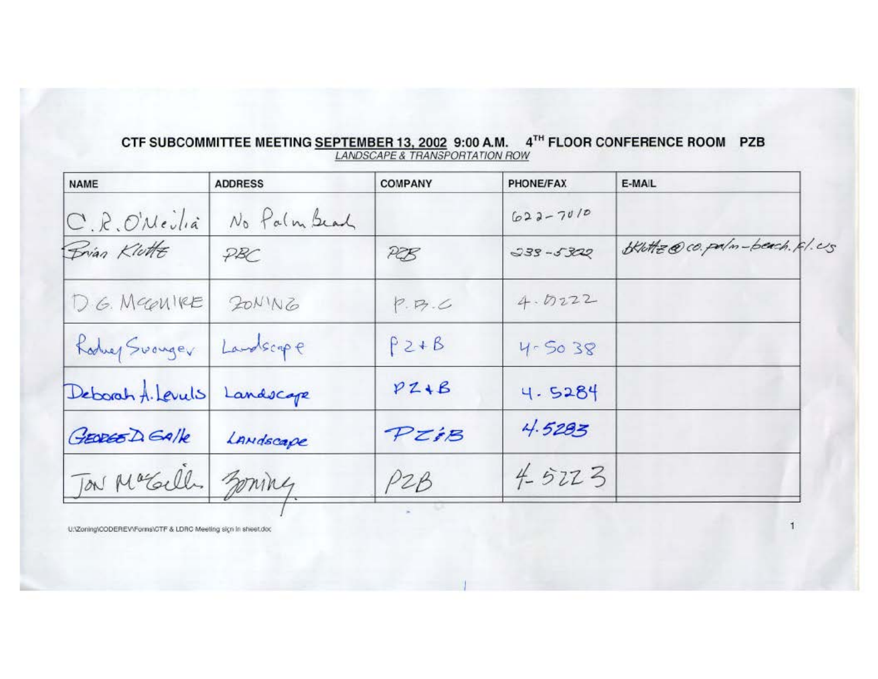| <b>NAME</b>       | <b>ADDRESS</b> | <b>COMPANY</b> | PHONE/FAX    | E-MAIL                      |
|-------------------|----------------|----------------|--------------|-----------------------------|
| C.R.O'Nevla       | No Palm Beach  |                | $622 - 7010$ |                             |
| Brian Klutte      | PBC            | PEB            | $335 - 5322$ | Blutte@co.palm-beach. Rl.Us |
| D.G. Mecanike     | ZONING         | P. P7. C       | 4.0222       |                             |
| Koduer Surveyer   | Landscape      | $P2+B$         | $4 - 5038$   |                             |
| Deborah A. Levuls | Landscape      | $PZ+B$         | 4.5284       |                             |
| GEORGE DEAlle     | LANdscape      | PIEB           | 4.5283       |                             |
| Ton Macally       | ming           | P2B            | $4 - 5223$   |                             |

## CTF SUBCOMMITTEE MEETING SEPTEMBER 13, 2002 9:00 A.M. 4TH FLOOR CONFERENCE ROOM PZB LANDSCAPE & TRANSPORTATION ROW

U:\Zoning\CODEREV\Forms\CTF & LDRC Meeting sign in sheet.doc

 $\mathbf{1}$